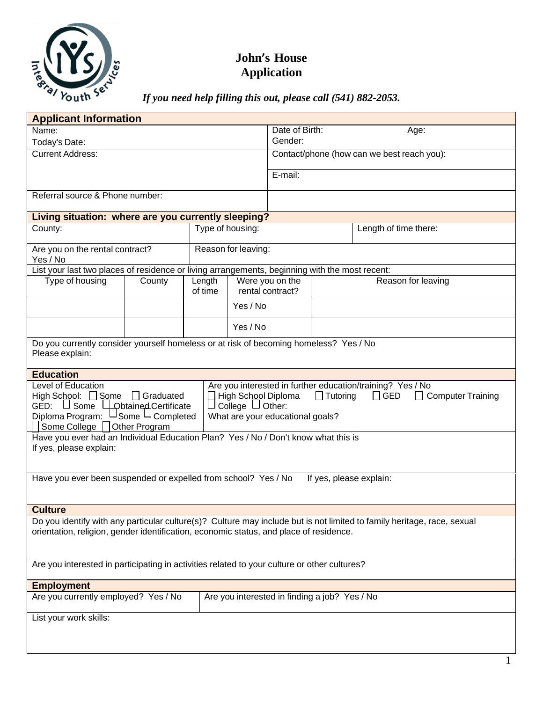

## **John's House Application**

*If you need help filling this out, please call (541) 882-2053.*

| <b>Applicant Information</b>                                                                                                                                                                                                                                          |        |         |                        |                  |                    |                                                                                                      |
|-----------------------------------------------------------------------------------------------------------------------------------------------------------------------------------------------------------------------------------------------------------------------|--------|---------|------------------------|------------------|--------------------|------------------------------------------------------------------------------------------------------|
| Name:                                                                                                                                                                                                                                                                 |        |         | Date of Birth:<br>Age: |                  |                    |                                                                                                      |
| Today's Date:                                                                                                                                                                                                                                                         |        |         |                        | Gender:          |                    |                                                                                                      |
| <b>Current Address:</b>                                                                                                                                                                                                                                               |        |         |                        |                  |                    | Contact/phone (how can we best reach you):                                                           |
|                                                                                                                                                                                                                                                                       |        |         |                        | E-mail:          |                    |                                                                                                      |
|                                                                                                                                                                                                                                                                       |        |         |                        |                  |                    |                                                                                                      |
| Referral source & Phone number:                                                                                                                                                                                                                                       |        |         |                        |                  |                    |                                                                                                      |
| Living situation: where are you currently sleeping?                                                                                                                                                                                                                   |        |         |                        |                  |                    |                                                                                                      |
| County:                                                                                                                                                                                                                                                               |        |         | Type of housing:       |                  |                    | Length of time there:                                                                                |
|                                                                                                                                                                                                                                                                       |        |         |                        |                  |                    |                                                                                                      |
| Are you on the rental contract?                                                                                                                                                                                                                                       |        |         | Reason for leaving:    |                  |                    |                                                                                                      |
| Yes / No<br>List your last two places of residence or living arrangements, beginning with the most recent:                                                                                                                                                            |        |         |                        |                  |                    |                                                                                                      |
| Type of housing                                                                                                                                                                                                                                                       | County | Length  |                        | Were you on the  | Reason for leaving |                                                                                                      |
|                                                                                                                                                                                                                                                                       |        | of time |                        | rental contract? |                    |                                                                                                      |
|                                                                                                                                                                                                                                                                       |        |         | Yes / No               |                  |                    |                                                                                                      |
|                                                                                                                                                                                                                                                                       |        |         | Yes / No               |                  |                    |                                                                                                      |
| Do you currently consider yourself homeless or at risk of becoming homeless? Yes / No                                                                                                                                                                                 |        |         |                        |                  |                    |                                                                                                      |
| Please explain:                                                                                                                                                                                                                                                       |        |         |                        |                  |                    |                                                                                                      |
| <b>Education</b>                                                                                                                                                                                                                                                      |        |         |                        |                  |                    |                                                                                                      |
| Level of Education<br>High School: $\Box$ Some $\Box$ Graduated<br>High School Diploma<br>GED: U Some LObtained Certificate<br>$\Box$ College $\Box$ Other:<br>Diploma Program: USome U Completed<br>What are your educational goals?<br>Some College   Other Program |        |         |                        |                  | $\Box$ Tutoring    | Are you interested in further education/training? Yes / No<br>$\Box$ GED<br>$\Box$ Computer Training |
| Have you ever had an Individual Education Plan? Yes / No / Don't know what this is                                                                                                                                                                                    |        |         |                        |                  |                    |                                                                                                      |
| If yes, please explain:                                                                                                                                                                                                                                               |        |         |                        |                  |                    |                                                                                                      |
|                                                                                                                                                                                                                                                                       |        |         |                        |                  |                    |                                                                                                      |
| Have you ever been suspended or expelled from school? Yes / No<br>If yes, please explain:                                                                                                                                                                             |        |         |                        |                  |                    |                                                                                                      |
|                                                                                                                                                                                                                                                                       |        |         |                        |                  |                    |                                                                                                      |
| <b>Culture</b>                                                                                                                                                                                                                                                        |        |         |                        |                  |                    |                                                                                                      |
| Do you identify with any particular culture(s)? Culture may include but is not limited to family heritage, race, sexual                                                                                                                                               |        |         |                        |                  |                    |                                                                                                      |
| orientation, religion, gender identification, economic status, and place of residence.                                                                                                                                                                                |        |         |                        |                  |                    |                                                                                                      |
|                                                                                                                                                                                                                                                                       |        |         |                        |                  |                    |                                                                                                      |
| Are you interested in participating in activities related to your culture or other cultures?                                                                                                                                                                          |        |         |                        |                  |                    |                                                                                                      |
|                                                                                                                                                                                                                                                                       |        |         |                        |                  |                    |                                                                                                      |
| <b>Employment</b>                                                                                                                                                                                                                                                     |        |         |                        |                  |                    |                                                                                                      |
| Are you currently employed? Yes / No<br>Are you interested in finding a job? Yes / No                                                                                                                                                                                 |        |         |                        |                  |                    |                                                                                                      |
| List your work skills:                                                                                                                                                                                                                                                |        |         |                        |                  |                    |                                                                                                      |
|                                                                                                                                                                                                                                                                       |        |         |                        |                  |                    |                                                                                                      |
|                                                                                                                                                                                                                                                                       |        |         |                        |                  |                    |                                                                                                      |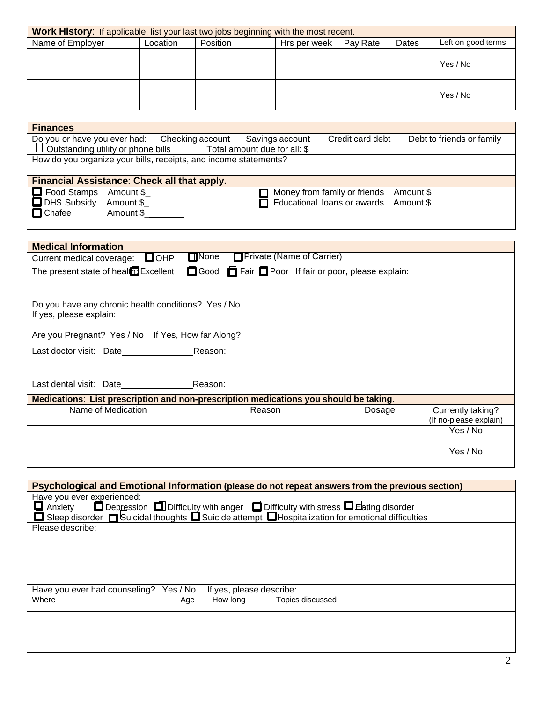| Work History: If applicable, list your last two jobs beginning with the most recent. |          |          |              |          |       |                    |
|--------------------------------------------------------------------------------------|----------|----------|--------------|----------|-------|--------------------|
| Name of Employer                                                                     | _ocation | Position | Hrs per week | Pay Rate | Dates | Left on good terms |
|                                                                                      |          |          |              |          |       | Yes / No           |
|                                                                                      |          |          |              |          |       | Yes / No           |

| <b>Finances</b>    |                                                                  |                                                                        |  |                                        |                                       |  |
|--------------------|------------------------------------------------------------------|------------------------------------------------------------------------|--|----------------------------------------|---------------------------------------|--|
|                    |                                                                  | Do you or have you ever had: Checking account Savings account          |  | Credit card debt                       | Debt to friends or family             |  |
|                    |                                                                  | $\Box$ Outstanding utility or phone bills Total amount due for all: \$ |  |                                        |                                       |  |
|                    | How do you organize your bills, receipts, and income statements? |                                                                        |  |                                        |                                       |  |
|                    |                                                                  |                                                                        |  |                                        |                                       |  |
|                    |                                                                  | Financial Assistance: Check all that apply.                            |  |                                        |                                       |  |
| $\Box$ Food Stamps | Amount \$                                                        |                                                                        |  | Money from family or friends Amount \$ |                                       |  |
| <b>DHS Subsidy</b> | Amount \$                                                        |                                                                        |  |                                        | Educational loans or awards Amount \$ |  |
| $\Box$ Chafee      | Amount \$                                                        |                                                                        |  |                                        |                                       |  |

| <b>Medical Information</b>                                                            |                                                       |        |                                             |  |  |
|---------------------------------------------------------------------------------------|-------------------------------------------------------|--------|---------------------------------------------|--|--|
| $\square$ OHP<br>Current medical coverage:                                            | <b>Private (Name of Carrier)</b><br>$\Box$ None       |        |                                             |  |  |
| The present state of healter Excellent                                                | □ Good □ Fair □ Poor If fair or poor, please explain: |        |                                             |  |  |
|                                                                                       |                                                       |        |                                             |  |  |
| Do you have any chronic health conditions? Yes / No<br>If yes, please explain:        |                                                       |        |                                             |  |  |
| Are you Pregnant? Yes / No If Yes, How far Along?                                     |                                                       |        |                                             |  |  |
| Last doctor visit: Date<br>Reason:                                                    |                                                       |        |                                             |  |  |
|                                                                                       |                                                       |        |                                             |  |  |
| Reason:<br>Last dental visit: Date                                                    |                                                       |        |                                             |  |  |
| Medications: List prescription and non-prescription medications you should be taking. |                                                       |        |                                             |  |  |
| Name of Medication                                                                    | Reason                                                | Dosage | Currently taking?<br>(If no-please explain) |  |  |
|                                                                                       |                                                       |        | Yes / No                                    |  |  |
|                                                                                       |                                                       |        |                                             |  |  |
|                                                                                       |                                                       |        | Yes / No                                    |  |  |
|                                                                                       |                                                       |        |                                             |  |  |

| Psychological and Emotional Information (please do not repeat answers from the previous section)                                                                                                                               |                              |  |  |  |
|--------------------------------------------------------------------------------------------------------------------------------------------------------------------------------------------------------------------------------|------------------------------|--|--|--|
| Have you ever experienced:<br>□ Anxiety □ Depression □ Difficulty with anger □ Difficulty with stress □ Eating disorder<br>□ Sleep disorder □ Suicidal thoughts □ Suicide attempt □ Hospitalization for emotional difficulties |                              |  |  |  |
| Please describe:                                                                                                                                                                                                               |                              |  |  |  |
|                                                                                                                                                                                                                                |                              |  |  |  |
|                                                                                                                                                                                                                                |                              |  |  |  |
|                                                                                                                                                                                                                                |                              |  |  |  |
| Have you ever had counseling?<br>Yes / No                                                                                                                                                                                      | If yes, please describe:     |  |  |  |
| Where<br>Age                                                                                                                                                                                                                   | How long<br>Topics discussed |  |  |  |
|                                                                                                                                                                                                                                |                              |  |  |  |
|                                                                                                                                                                                                                                |                              |  |  |  |
|                                                                                                                                                                                                                                |                              |  |  |  |
|                                                                                                                                                                                                                                |                              |  |  |  |
|                                                                                                                                                                                                                                | $\mathcal{D}_{\mathcal{L}}$  |  |  |  |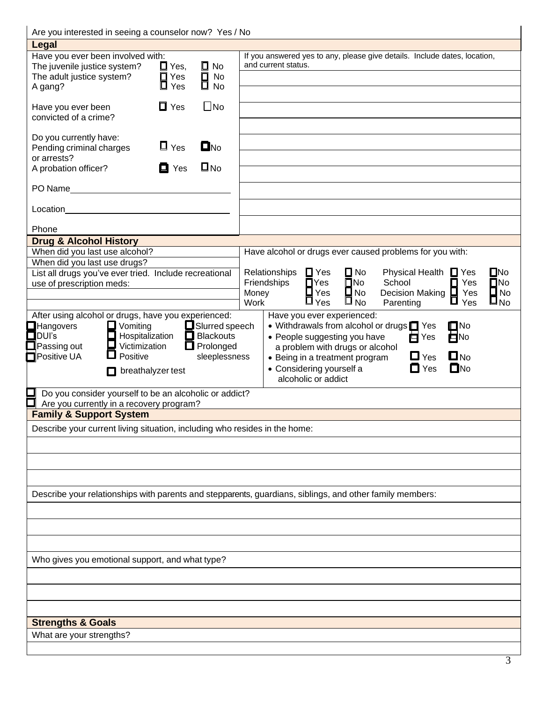| Are you interested in seeing a counselor now? Yes / No                                                         |                                                                                                                                                                                             |
|----------------------------------------------------------------------------------------------------------------|---------------------------------------------------------------------------------------------------------------------------------------------------------------------------------------------|
| <b>Legal</b>                                                                                                   |                                                                                                                                                                                             |
| Have you ever been involved with:                                                                              | If you answered yes to any, please give details. Include dates, location,                                                                                                                   |
| $\Box$ Yes,<br>$\square$ No<br>The juvenile justice system?                                                    | and current status.                                                                                                                                                                         |
| $\overline{\overline{\mathbf{B}}}$ No<br>$\overline{\mathbf{B}}$ No<br>$\Box$ Yes<br>The adult justice system? |                                                                                                                                                                                             |
| $\Box$ Yes<br>A gang?                                                                                          |                                                                                                                                                                                             |
| $\square$ No<br>$\Box$ Yes<br>Have you ever been                                                               |                                                                                                                                                                                             |
| convicted of a crime?                                                                                          |                                                                                                                                                                                             |
|                                                                                                                |                                                                                                                                                                                             |
| Do you currently have:                                                                                         |                                                                                                                                                                                             |
| $\Box$ No<br>$\Box$ Yes<br>Pending criminal charges                                                            |                                                                                                                                                                                             |
| or arrests?                                                                                                    |                                                                                                                                                                                             |
| $\square$ No<br>$\blacksquare$ Yes<br>A probation officer?                                                     |                                                                                                                                                                                             |
|                                                                                                                |                                                                                                                                                                                             |
|                                                                                                                |                                                                                                                                                                                             |
| Location                                                                                                       |                                                                                                                                                                                             |
|                                                                                                                |                                                                                                                                                                                             |
| Phone                                                                                                          |                                                                                                                                                                                             |
| <b>Drug &amp; Alcohol History</b>                                                                              |                                                                                                                                                                                             |
| When did you last use alcohol?                                                                                 | Have alcohol or drugs ever caused problems for you with:                                                                                                                                    |
| When did you last use drugs?                                                                                   |                                                                                                                                                                                             |
| List all drugs you've ever tried. Include recreational                                                         | $\Box$ No<br>$\square$ No<br>$\Box$ Yes<br>Relationships<br>Physical Health $\Box$ Yes<br>$\blacksquare$ Yes<br>$\square$ No<br>School<br>$\square$ No<br>Friendships<br>$\blacksquare$ Yes |
| use of prescription meds:                                                                                      | Decision Making $\square$<br>$\Box$ No<br>$\square$ No<br>Yes<br>Money                                                                                                                      |
|                                                                                                                | $\prod_{\text{Yes}}$<br>$\square_{\,\text{No}}$<br>$\square_{\sf No}$<br>$\Box$ Yes<br>Work<br>Parenting                                                                                    |
| After using alcohol or drugs, have you experienced:                                                            | Have you ever experienced:                                                                                                                                                                  |
| $\Box$ Vomiting<br>$\Box$ Hangovers                                                                            | $\square$ No<br>• Withdrawals from alcohol or drugs T Yes                                                                                                                                   |
| Slurred speech<br>Hospitalization<br>$\blacksquare$ DUI's<br>ப                                                 | $\overline{\blacksquare}$ Yes<br>$\blacksquare$ No<br>• People suggesting you have                                                                                                          |
| Prolonged<br>ப<br>Passing out<br>Victimization                                                                 | a problem with drugs or alcohol                                                                                                                                                             |
| Positive UA<br>Positive<br>sleeplessness                                                                       | $\square$ No<br>$\Box$ Yes<br>• Being in a treatment program                                                                                                                                |
| $\Box$ breathalyzer test                                                                                       | $\blacksquare$ Yes<br>$\Box$ No<br>• Considering yourself a                                                                                                                                 |
|                                                                                                                | alcoholic or addict                                                                                                                                                                         |
| Do you consider yourself to be an alcoholic or addict?                                                         |                                                                                                                                                                                             |
| Are you currently in a recovery program?                                                                       |                                                                                                                                                                                             |
| <b>Family &amp; Support System</b>                                                                             |                                                                                                                                                                                             |
| Describe your current living situation, including who resides in the home:                                     |                                                                                                                                                                                             |
|                                                                                                                |                                                                                                                                                                                             |
|                                                                                                                |                                                                                                                                                                                             |
|                                                                                                                |                                                                                                                                                                                             |
|                                                                                                                |                                                                                                                                                                                             |
|                                                                                                                | Describe your relationships with parents and stepparents, guardians, siblings, and other family members:                                                                                    |
|                                                                                                                |                                                                                                                                                                                             |
|                                                                                                                |                                                                                                                                                                                             |
|                                                                                                                |                                                                                                                                                                                             |
|                                                                                                                |                                                                                                                                                                                             |
| Who gives you emotional support, and what type?                                                                |                                                                                                                                                                                             |
|                                                                                                                |                                                                                                                                                                                             |
|                                                                                                                |                                                                                                                                                                                             |
|                                                                                                                |                                                                                                                                                                                             |
|                                                                                                                |                                                                                                                                                                                             |
| <b>Strengths &amp; Goals</b>                                                                                   |                                                                                                                                                                                             |
| What are your strengths?                                                                                       |                                                                                                                                                                                             |
|                                                                                                                |                                                                                                                                                                                             |
|                                                                                                                |                                                                                                                                                                                             |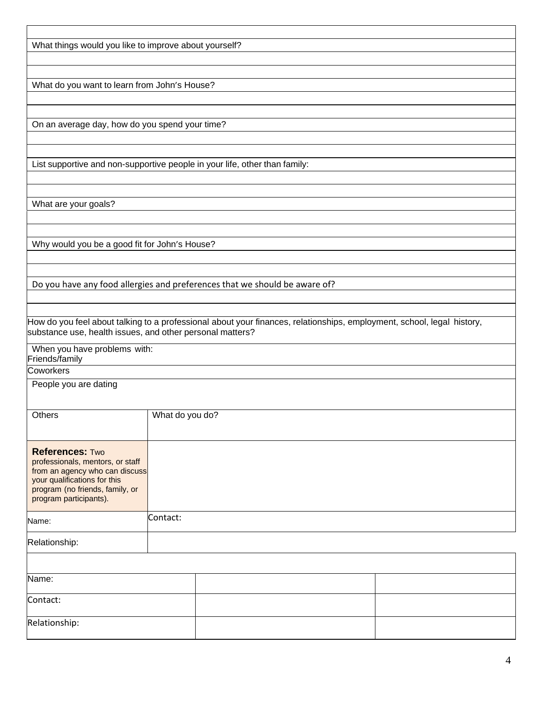| What things would you like to improve about yourself?                                                                  |                 |  |  |  |  |
|------------------------------------------------------------------------------------------------------------------------|-----------------|--|--|--|--|
|                                                                                                                        |                 |  |  |  |  |
|                                                                                                                        |                 |  |  |  |  |
| What do you want to learn from John's House?                                                                           |                 |  |  |  |  |
|                                                                                                                        |                 |  |  |  |  |
|                                                                                                                        |                 |  |  |  |  |
| On an average day, how do you spend your time?                                                                         |                 |  |  |  |  |
|                                                                                                                        |                 |  |  |  |  |
|                                                                                                                        |                 |  |  |  |  |
| List supportive and non-supportive people in your life, other than family:                                             |                 |  |  |  |  |
|                                                                                                                        |                 |  |  |  |  |
|                                                                                                                        |                 |  |  |  |  |
| What are your goals?                                                                                                   |                 |  |  |  |  |
|                                                                                                                        |                 |  |  |  |  |
| Why would you be a good fit for John's House?                                                                          |                 |  |  |  |  |
|                                                                                                                        |                 |  |  |  |  |
|                                                                                                                        |                 |  |  |  |  |
| Do you have any food allergies and preferences that we should be aware of?                                             |                 |  |  |  |  |
|                                                                                                                        |                 |  |  |  |  |
|                                                                                                                        |                 |  |  |  |  |
| How do you feel about talking to a professional about your finances, relationships, employment, school, legal history, |                 |  |  |  |  |
| substance use, health issues, and other personal matters?                                                              |                 |  |  |  |  |
| When you have problems with:                                                                                           |                 |  |  |  |  |
| Friends/family                                                                                                         |                 |  |  |  |  |
| Coworkers                                                                                                              |                 |  |  |  |  |
| People you are dating                                                                                                  |                 |  |  |  |  |
|                                                                                                                        |                 |  |  |  |  |
| Others                                                                                                                 | What do you do? |  |  |  |  |
|                                                                                                                        |                 |  |  |  |  |
|                                                                                                                        |                 |  |  |  |  |
| <b>References: Two</b><br>professionals, mentors, or staff                                                             |                 |  |  |  |  |
| from an agency who can discuss                                                                                         |                 |  |  |  |  |
| your qualifications for this                                                                                           |                 |  |  |  |  |
| program (no friends, family, or<br>program participants).                                                              |                 |  |  |  |  |
|                                                                                                                        |                 |  |  |  |  |
| Name:                                                                                                                  | Contact:        |  |  |  |  |
|                                                                                                                        |                 |  |  |  |  |
| Relationship:                                                                                                          |                 |  |  |  |  |
|                                                                                                                        |                 |  |  |  |  |
| Name:                                                                                                                  |                 |  |  |  |  |
|                                                                                                                        |                 |  |  |  |  |
| Contact:                                                                                                               |                 |  |  |  |  |
|                                                                                                                        |                 |  |  |  |  |
| Relationship:                                                                                                          |                 |  |  |  |  |